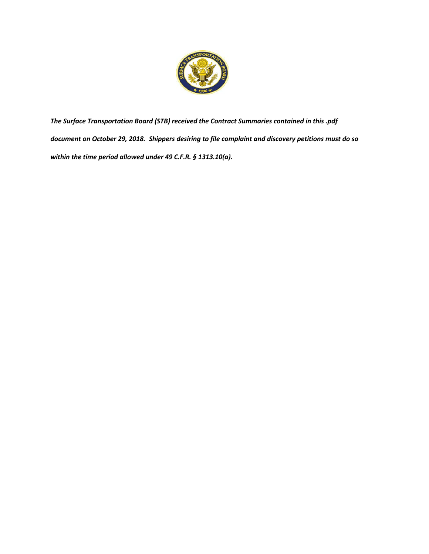

*The Surface Transportation Board (STB) received the Contract Summaries contained in this .pdf document on October 29, 2018. Shippers desiring to file complaint and discovery petitions must do so within the time period allowed under 49 C.F.R. § 1313.10(a).*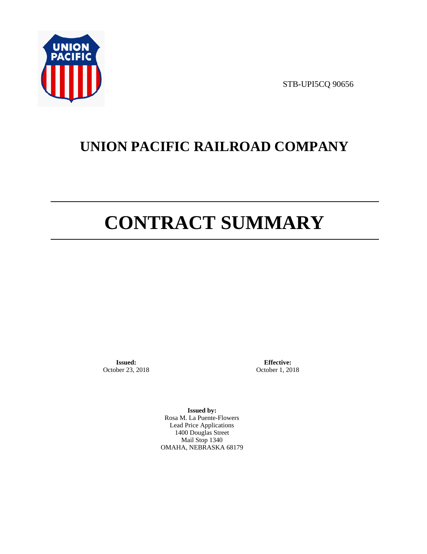

STB-UPI5CQ 90656

# **UNION PACIFIC RAILROAD COMPANY**

# **CONTRACT SUMMARY**

**Issued:**  October 23, 2018

**Effective:** October 1, 2018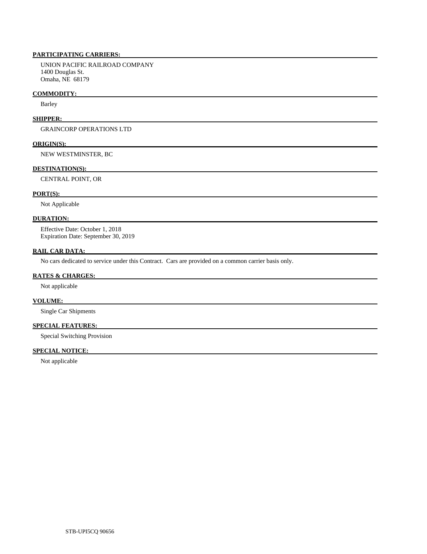UNION PACIFIC RAILROAD COMPANY 1400 Douglas St. Omaha, NE 68179

## **COMMODITY:**

Barley

# **SHIPPER:**

GRAINCORP OPERATIONS LTD

#### **ORIGIN(S):**

NEW WESTMINSTER, BC

# **DESTINATION(S):**

CENTRAL POINT, OR

### **PORT(S):**

Not Applicable

# **DURATION:**

 Effective Date: October 1, 2018 Expiration Date: September 30, 2019

# **RAIL CAR DATA:**

No cars dedicated to service under this Contract. Cars are provided on a common carrier basis only.

# **RATES & CHARGES:**

Not applicable

# **VOLUME:**

Single Car Shipments

# **SPECIAL FEATURES:**

Special Switching Provision

# **SPECIAL NOTICE:**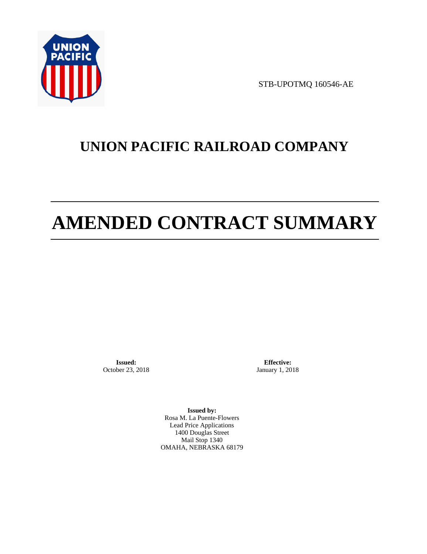

STB-UPOTMQ 160546-AE

# **UNION PACIFIC RAILROAD COMPANY**

# **AMENDED CONTRACT SUMMARY**

**Issued:**  October 23, 2018

**Effective:** January 1, 2018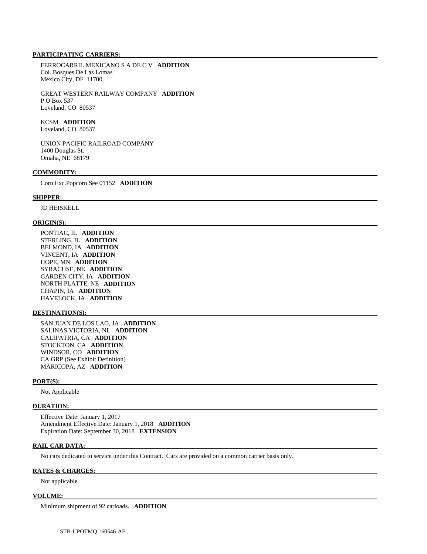FERROCARRIL MEXICANO S A DE C V **ADDITION**  Col. Bosques De Las Lomas Mexico City, DF 11700

 GREAT WESTERN RAILWAY COMPANY **ADDITION**  P O Box 537 Loveland, CO 80537

 KCSM **ADDITION**  Loveland, CO 80537

 UNION PACIFIC RAILROAD COMPANY 1400 Douglas St. Omaha, NE 68179

#### **COMMODITY:**

Corn Exc.Popcorn See 01152 **ADDITION** 

### **SHIPPER:**

JD HEISKELL

#### **ORIGIN(S):**

 PONTIAC, IL **ADDITION**  STERLING, IL **ADDITION**  BELMOND, IA **ADDITION**  VINCENT, IA **ADDITION**  HOPE, MN **ADDITION**  SYRACUSE, NE **ADDITION**  GARDEN CITY, IA **ADDITION**  NORTH PLATTE, NE **ADDITION**  CHAPIN, IA **ADDITION**  HAVELOCK, IA **ADDITION** 

# **DESTINATION(S):**

 SAN JUAN DE LOS LAG, JA **ADDITION**  SALINAS VICTORIA, NL **ADDITION**  CALIPATRIA, CA **ADDITION**  STOCKTON, CA **ADDITION**  WINDSOR, CO **ADDITION**  CA GRP (See Exhibit Definition) MARICOPA, AZ **ADDITION** 

#### **PORT(S):**

Not Applicable

#### **DURATION:**

 Effective Date: January 1, 2017 Amendment Effective Date: January 1, 2018 **ADDITION**  Expiration Date: September 30, 2018 **EXTENSION** 

# **RAIL CAR DATA:**

No cars dedicated to service under this Contract. Cars are provided on a common carrier basis only.

# **RATES & CHARGES:**

Not applicable

#### **VOLUME:**

Minimum shipment of 92 carloads. **ADDITION**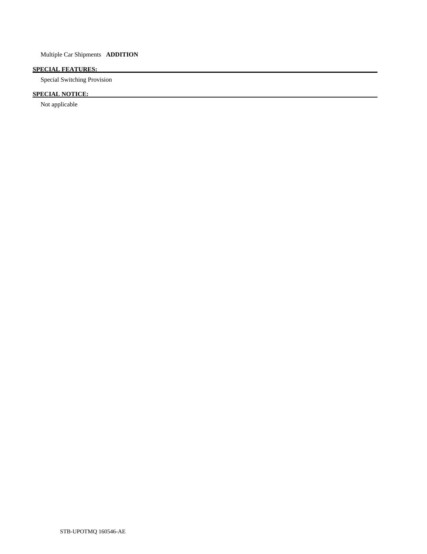# **SPECIAL FEATURES:**

Special Switching Provision

# **SPECIAL NOTICE:**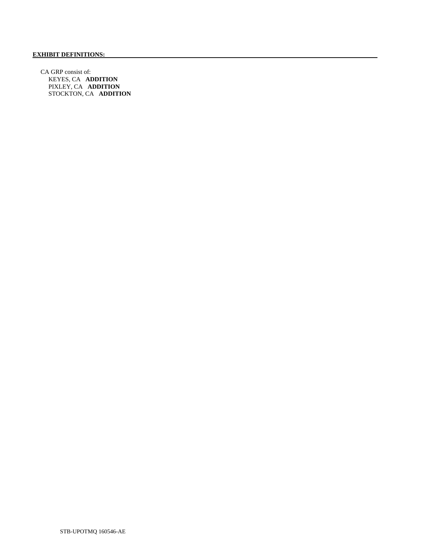CA GRP consist of: KEYES, CA **ADDITION**  PIXLEY, CA **ADDITION**  STOCKTON, CA **ADDITION**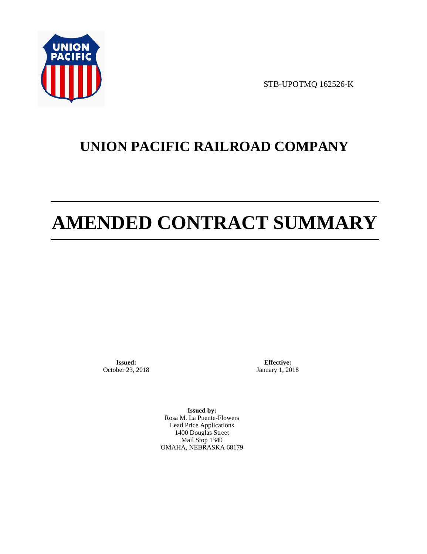

STB-UPOTMQ 162526-K

# **UNION PACIFIC RAILROAD COMPANY**

# **AMENDED CONTRACT SUMMARY**

**Issued:**  October 23, 2018

**Effective:** January 1, 2018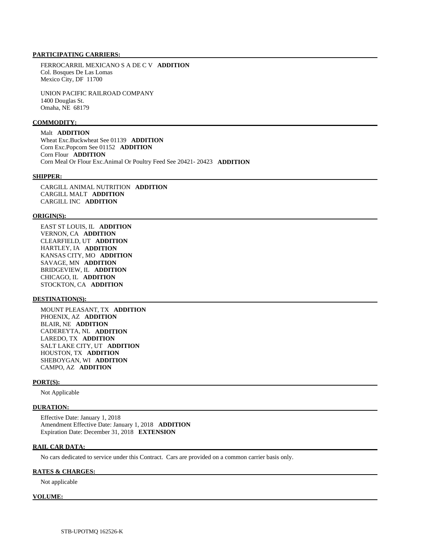FERROCARRIL MEXICANO S A DE C V **ADDITION**  Col. Bosques De Las Lomas Mexico City, DF 11700

 UNION PACIFIC RAILROAD COMPANY 1400 Douglas St. Omaha, NE 68179

### **COMMODITY:**

 Malt **ADDITION**  Wheat Exc.Buckwheat See 01139 **ADDITION**  Corn Exc.Popcorn See 01152 **ADDITION**  Corn Flour **ADDITION**  Corn Meal Or Flour Exc.Animal Or Poultry Feed See 20421- 20423 **ADDITION** 

#### **SHIPPER:**

 CARGILL ANIMAL NUTRITION **ADDITION**  CARGILL MALT **ADDITION**  CARGILL INC **ADDITION** 

#### **ORIGIN(S):**

 EAST ST LOUIS, IL **ADDITION**  VERNON, CA **ADDITION**  CLEARFIELD, UT **ADDITION**  HARTLEY, IA **ADDITION**  KANSAS CITY, MO **ADDITION**  SAVAGE, MN **ADDITION**  BRIDGEVIEW, IL **ADDITION**  CHICAGO, IL **ADDITION**  STOCKTON, CA **ADDITION** 

## **DESTINATION(S):**

 MOUNT PLEASANT, TX **ADDITION**  PHOENIX, AZ **ADDITION**  BLAIR, NE **ADDITION**  CADEREYTA, NL **ADDITION**  LAREDO, TX **ADDITION**  SALT LAKE CITY, UT **ADDITION**  HOUSTON, TX **ADDITION**  SHEBOYGAN, WI **ADDITION**  CAMPO, AZ **ADDITION** 

# **PORT(S):**

Not Applicable

## **DURATION:**

 Effective Date: January 1, 2018 Amendment Effective Date: January 1, 2018 **ADDITION**  Expiration Date: December 31, 2018 **EXTENSION** 

# **RAIL CAR DATA:**

No cars dedicated to service under this Contract. Cars are provided on a common carrier basis only.

#### **RATES & CHARGES:**

Not applicable

#### **VOLUME:**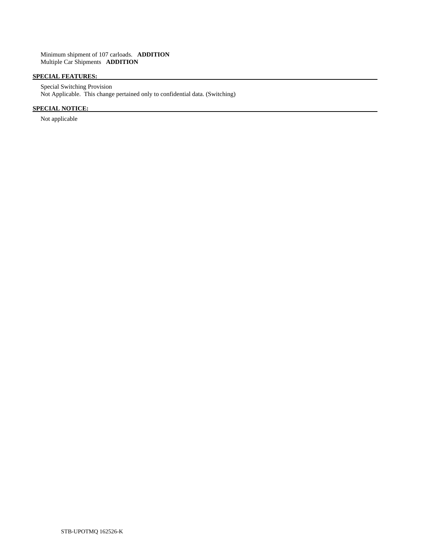# **SPECIAL FEATURES:**

 Special Switching Provision Not Applicable. This change pertained only to confidential data. (Switching)

# **SPECIAL NOTICE:**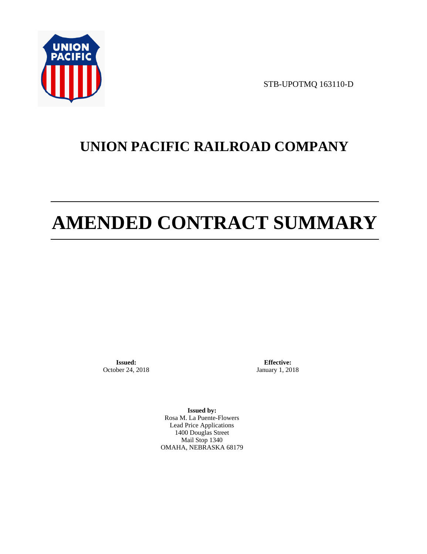

STB-UPOTMQ 163110-D

# **UNION PACIFIC RAILROAD COMPANY**

# **AMENDED CONTRACT SUMMARY**

**Issued:**  October 24, 2018

**Effective:** January 1, 2018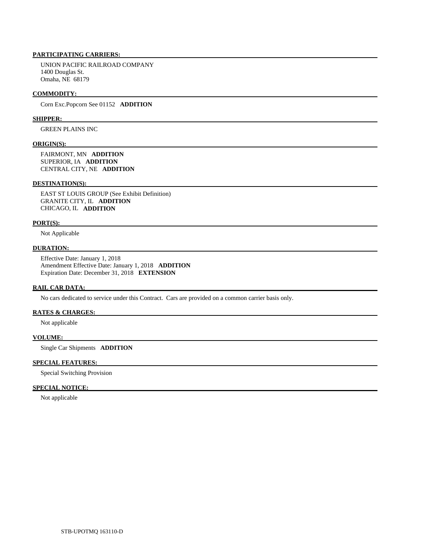UNION PACIFIC RAILROAD COMPANY 1400 Douglas St. Omaha, NE 68179

#### **COMMODITY:**

Corn Exc.Popcorn See 01152 **ADDITION** 

#### **SHIPPER:**

GREEN PLAINS INC

#### **ORIGIN(S):**

 FAIRMONT, MN **ADDITION**  SUPERIOR, IA **ADDITION**  CENTRAL CITY, NE **ADDITION** 

# **DESTINATION(S):**

 EAST ST LOUIS GROUP (See Exhibit Definition) GRANITE CITY, IL **ADDITION**  CHICAGO, IL **ADDITION** 

#### **PORT(S):**

Not Applicable

# **DURATION:**

 Effective Date: January 1, 2018 Amendment Effective Date: January 1, 2018 **ADDITION**  Expiration Date: December 31, 2018 **EXTENSION** 

### **RAIL CAR DATA:**

No cars dedicated to service under this Contract. Cars are provided on a common carrier basis only.

# **RATES & CHARGES:**

Not applicable

# **VOLUME:**

Single Car Shipments **ADDITION** 

# **SPECIAL FEATURES:**

Special Switching Provision

# **SPECIAL NOTICE:**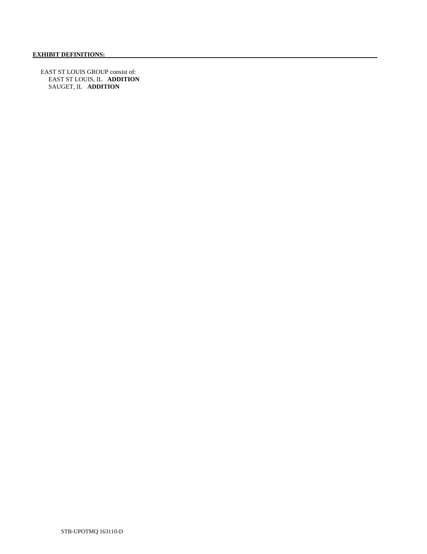EAST ST LOUIS GROUP consist of: EAST ST LOUIS, IL **ADDITION**  SAUGET, IL **ADDITION**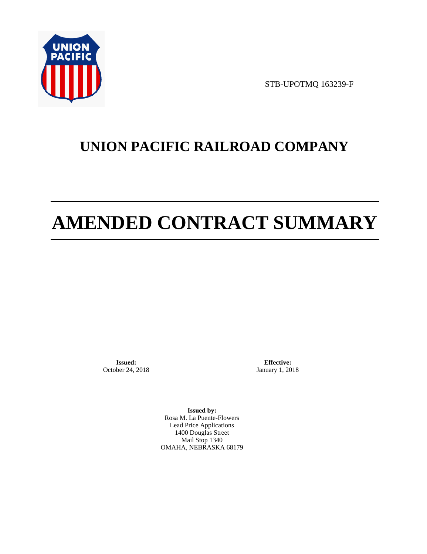

STB-UPOTMQ 163239-F

# **UNION PACIFIC RAILROAD COMPANY**

# **AMENDED CONTRACT SUMMARY**

**Issued:**  October 24, 2018

**Effective:** January 1, 2018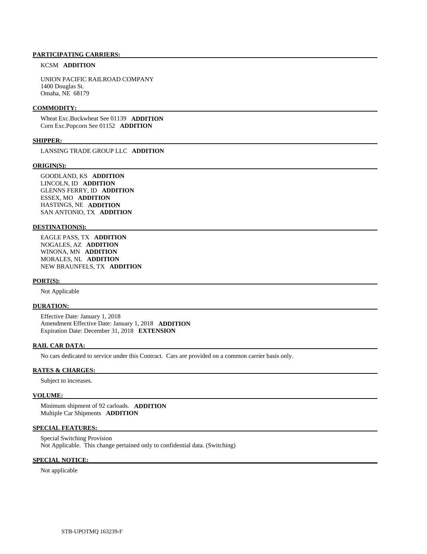# KCSM **ADDITION**

 UNION PACIFIC RAILROAD COMPANY 1400 Douglas St. Omaha, NE 68179

## **COMMODITY:**

 Wheat Exc.Buckwheat See 01139 **ADDITION**  Corn Exc.Popcorn See 01152 **ADDITION** 

# **SHIPPER:**

LANSING TRADE GROUP LLC **ADDITION** 

#### **ORIGIN(S):**

 GOODLAND, KS **ADDITION**  LINCOLN, ID **ADDITION**  GLENNS FERRY, ID **ADDITION**  ESSEX, MO **ADDITION**  HASTINGS, NE **ADDITION**  SAN ANTONIO, TX **ADDITION** 

#### **DESTINATION(S):**

 EAGLE PASS, TX **ADDITION**  NOGALES, AZ **ADDITION**  WINONA, MN **ADDITION**  MORALES, NL **ADDITION**  NEW BRAUNFELS, TX **ADDITION** 

#### **PORT(S):**

Not Applicable

# **DURATION:**

 Effective Date: January 1, 2018 Amendment Effective Date: January 1, 2018 **ADDITION**  Expiration Date: December 31, 2018 **EXTENSION** 

#### **RAIL CAR DATA:**

No cars dedicated to service under this Contract. Cars are provided on a common carrier basis only.

#### **RATES & CHARGES:**

Subject to increases.

#### **VOLUME:**

 Minimum shipment of 92 carloads. **ADDITION**  Multiple Car Shipments **ADDITION** 

#### **SPECIAL FEATURES:**

 Special Switching Provision Not Applicable. This change pertained only to confidential data. (Switching)

## **SPECIAL NOTICE:**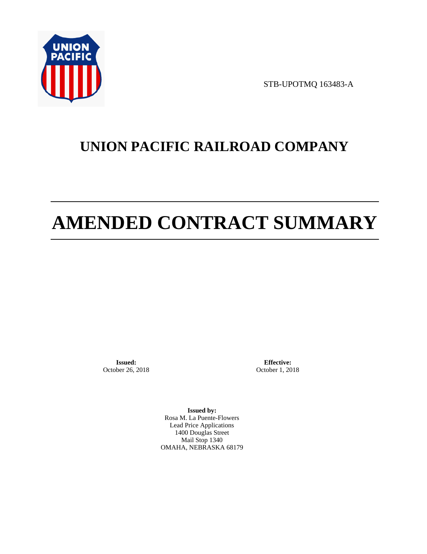

STB-UPOTMQ 163483-A

# **UNION PACIFIC RAILROAD COMPANY**

# **AMENDED CONTRACT SUMMARY**

**Issued:**  October 26, 2018

**Effective:** October 1, 2018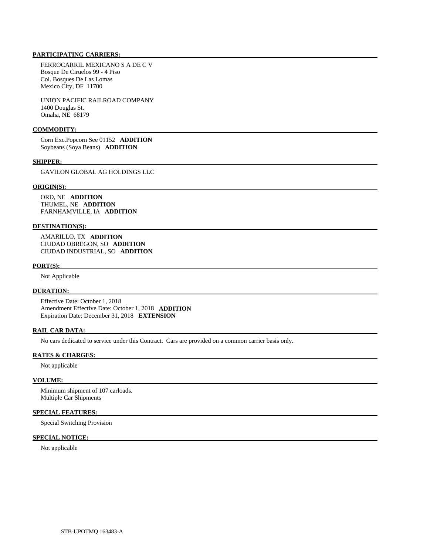FERROCARRIL MEXICANO S A DE C V Bosque De Ciruelos 99 - 4 Piso Col. Bosques De Las Lomas Mexico City, DF 11700

 UNION PACIFIC RAILROAD COMPANY 1400 Douglas St. Omaha, NE 68179

# **COMMODITY:**

 Corn Exc.Popcorn See 01152 **ADDITION**  Soybeans (Soya Beans) **ADDITION** 

#### **SHIPPER:**

GAVILON GLOBAL AG HOLDINGS LLC

#### **ORIGIN(S):**

 ORD, NE **ADDITION**  THUMEL, NE **ADDITION**  FARNHAMVILLE, IA **ADDITION** 

## **DESTINATION(S):**

 AMARILLO, TX **ADDITION**  CIUDAD OBREGON, SO **ADDITION**  CIUDAD INDUSTRIAL, SO **ADDITION** 

#### **PORT(S):**

Not Applicable

## **DURATION:**

 Effective Date: October 1, 2018 Amendment Effective Date: October 1, 2018 **ADDITION**  Expiration Date: December 31, 2018 **EXTENSION** 

# **RAIL CAR DATA:**

No cars dedicated to service under this Contract. Cars are provided on a common carrier basis only.

# **RATES & CHARGES:**

Not applicable

#### **VOLUME:**

 Minimum shipment of 107 carloads. Multiple Car Shipments

# **SPECIAL FEATURES:**

Special Switching Provision

# **SPECIAL NOTICE:**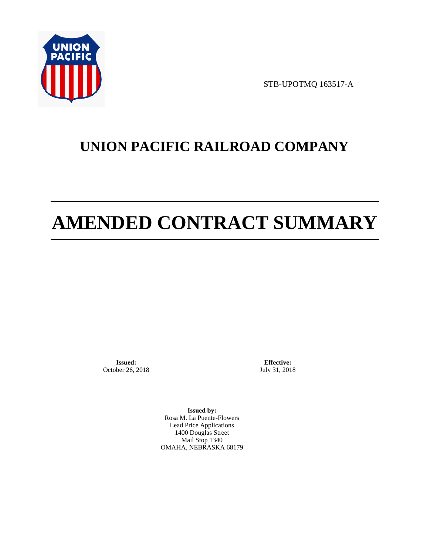

STB-UPOTMQ 163517-A

# **UNION PACIFIC RAILROAD COMPANY**

# **AMENDED CONTRACT SUMMARY**

**Issued:**  October 26, 2018

**Effective:** July 31, 2018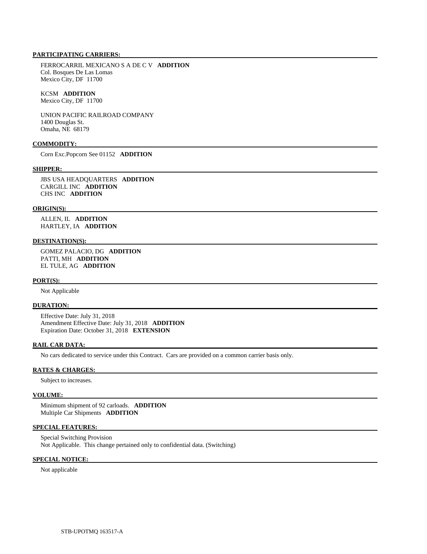FERROCARRIL MEXICANO S A DE C V **ADDITION**  Col. Bosques De Las Lomas Mexico City, DF 11700

# KCSM **ADDITION**

Mexico City, DF 11700

 UNION PACIFIC RAILROAD COMPANY 1400 Douglas St. Omaha, NE 68179

#### **COMMODITY:**

Corn Exc.Popcorn See 01152 **ADDITION** 

#### **SHIPPER:**

 JBS USA HEADQUARTERS **ADDITION**  CARGILL INC **ADDITION**  CHS INC **ADDITION** 

#### **ORIGIN(S):**

 ALLEN, IL **ADDITION**  HARTLEY, IA **ADDITION** 

## **DESTINATION(S):**

 GOMEZ PALACIO, DG **ADDITION**  PATTI, MH **ADDITION**  EL TULE, AG **ADDITION** 

#### **PORT(S):**

Not Applicable

# **DURATION:**

 Effective Date: July 31, 2018 Amendment Effective Date: July 31, 2018 **ADDITION**  Expiration Date: October 31, 2018 **EXTENSION** 

#### **RAIL CAR DATA:**

No cars dedicated to service under this Contract. Cars are provided on a common carrier basis only.

# **RATES & CHARGES:**

Subject to increases.

#### **VOLUME:**

 Minimum shipment of 92 carloads. **ADDITION**  Multiple Car Shipments **ADDITION** 

# **SPECIAL FEATURES:**

 Special Switching Provision Not Applicable. This change pertained only to confidential data. (Switching)

## **SPECIAL NOTICE:**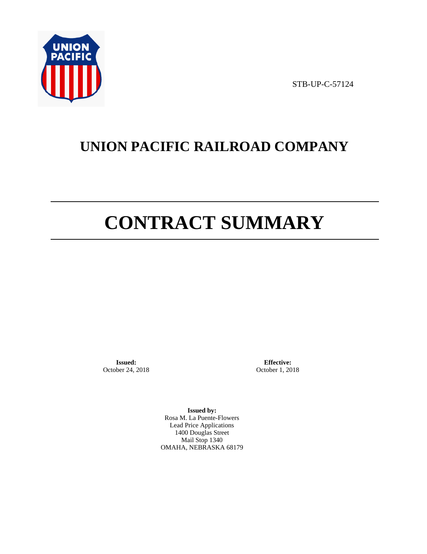

STB-UP-C-57124

# **UNION PACIFIC RAILROAD COMPANY**

# **CONTRACT SUMMARY**

**Issued:**  October 24, 2018

**Effective:** October 1, 2018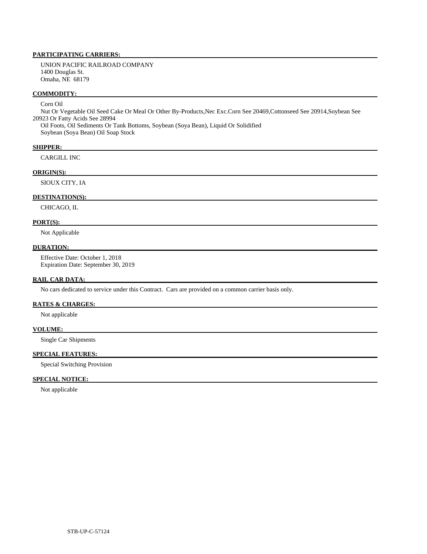UNION PACIFIC RAILROAD COMPANY 1400 Douglas St. Omaha, NE 68179

# **COMMODITY:**

# Corn Oil

 Nut Or Vegetable Oil Seed Cake Or Meal Or Other By-Products,Nec Exc.Corn See 20469,Cottonseed See 20914,Soybean See 20923 Or Fatty Acids See 28994

 Oil Foots, Oil Sediments Or Tank Bottoms, Soybean (Soya Bean), Liquid Or Solidified Soybean (Soya Bean) Oil Soap Stock

### **SHIPPER:**

CARGILL INC

# **ORIGIN(S):**

SIOUX CITY, IA

# **DESTINATION(S):**

CHICAGO, IL

# **PORT(S):**

Not Applicable

### **DURATION:**

 Effective Date: October 1, 2018 Expiration Date: September 30, 2019

## **RAIL CAR DATA:**

No cars dedicated to service under this Contract. Cars are provided on a common carrier basis only.

### **RATES & CHARGES:**

Not applicable

# **VOLUME:**

Single Car Shipments

# **SPECIAL FEATURES:**

Special Switching Provision

# **SPECIAL NOTICE:**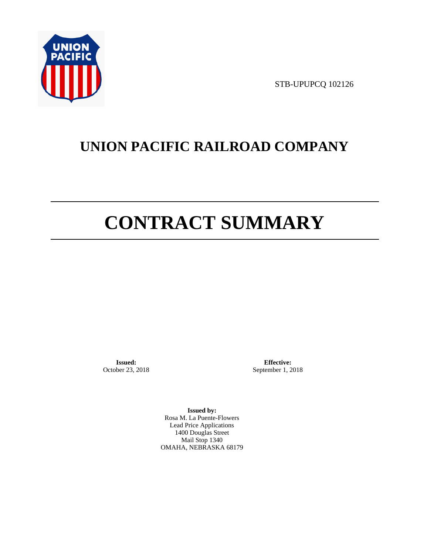

STB-UPUPCQ 102126

# **UNION PACIFIC RAILROAD COMPANY**

# **CONTRACT SUMMARY**

**Issued:**  October 23, 2018

**Effective:** September 1, 2018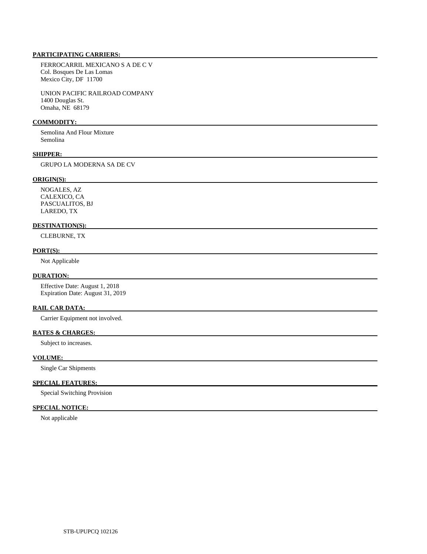FERROCARRIL MEXICANO S A DE C V Col. Bosques De Las Lomas Mexico City, DF 11700

 UNION PACIFIC RAILROAD COMPANY 1400 Douglas St. Omaha, NE 68179

# **COMMODITY:**

 Semolina And Flour Mixture Semolina

# **SHIPPER:**

GRUPO LA MODERNA SA DE CV

# **ORIGIN(S):**

 NOGALES, AZ CALEXICO, CA PASCUALITOS, BJ LAREDO, TX

# **DESTINATION(S):**

CLEBURNE, TX

### **PORT(S):**

Not Applicable

# **DURATION:**

 Effective Date: August 1, 2018 Expiration Date: August 31, 2019

#### **RAIL CAR DATA:**

Carrier Equipment not involved.

# **RATES & CHARGES:**

Subject to increases.

# **VOLUME:**

Single Car Shipments

# **SPECIAL FEATURES:**

Special Switching Provision

# **SPECIAL NOTICE:**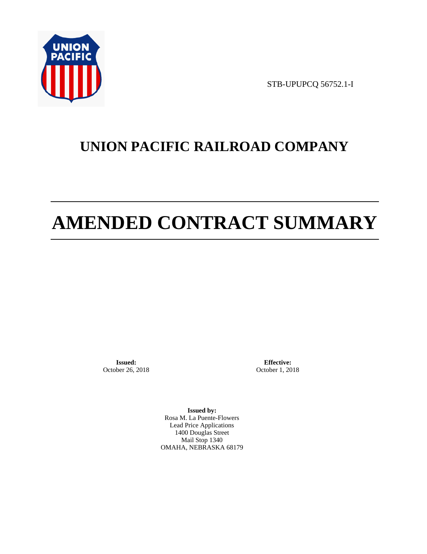

STB-UPUPCQ 56752.1-I

# **UNION PACIFIC RAILROAD COMPANY**

# **AMENDED CONTRACT SUMMARY**

**Issued:**  October 26, 2018

**Effective:** October 1, 2018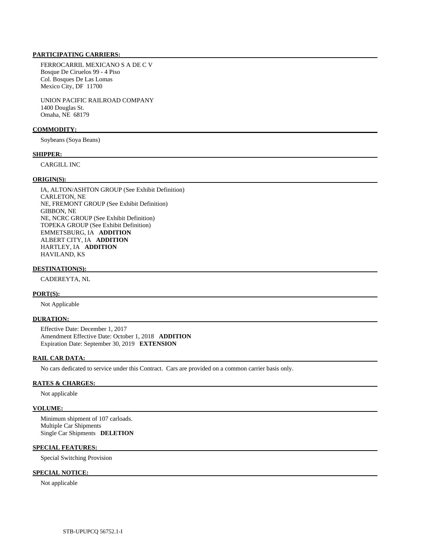FERROCARRIL MEXICANO S A DE C V Bosque De Ciruelos 99 - 4 Piso Col. Bosques De Las Lomas Mexico City, DF 11700

 UNION PACIFIC RAILROAD COMPANY 1400 Douglas St. Omaha, NE 68179

# **COMMODITY:**

Soybeans (Soya Beans)

#### **SHIPPER:**

CARGILL INC

#### **ORIGIN(S):**

 IA, ALTON/ASHTON GROUP (See Exhibit Definition) CARLETON, NE NE, FREMONT GROUP (See Exhibit Definition) GIBBON, NE NE, NCRC GROUP (See Exhibit Definition) TOPEKA GROUP (See Exhibit Definition) EMMETSBURG, IA **ADDITION**  ALBERT CITY, IA **ADDITION**  HARTLEY, IA **ADDITION**  HAVILAND, KS

#### **DESTINATION(S):**

CADEREYTA, NL

# **PORT(S):**

Not Applicable

#### **DURATION:**

 Effective Date: December 1, 2017 Amendment Effective Date: October 1, 2018 **ADDITION**  Expiration Date: September 30, 2019 **EXTENSION** 

# **RAIL CAR DATA:**

No cars dedicated to service under this Contract. Cars are provided on a common carrier basis only.

#### **RATES & CHARGES:**

Not applicable

# **VOLUME:**

 Minimum shipment of 107 carloads. Multiple Car Shipments Single Car Shipments **DELETION** 

### **SPECIAL FEATURES:**

Special Switching Provision

# **SPECIAL NOTICE:**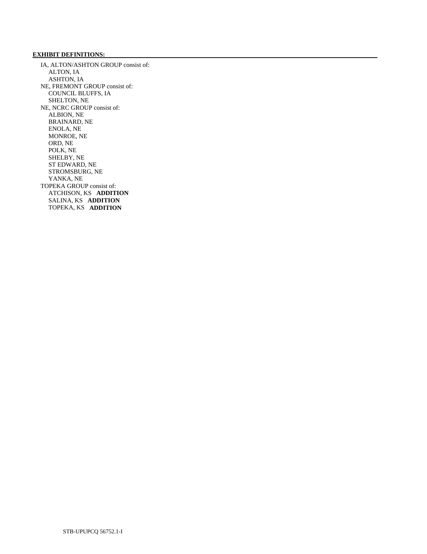# **EXHIBIT DEFINITIONS:**

 IA, ALTON/ASHTON GROUP consist of: ALTON, IA ASHTON, IA NE, FREMONT GROUP consist of: COUNCIL BLUFFS, IA SHELTON, NE NE, NCRC GROUP consist of: ALBION, NE BRAINARD, NE ENOLA, NE MONROE, NE ORD, NE POLK, NE SHELBY, NE ST EDWARD, NE STROMSBURG, NE YANKA, NE TOPEKA GROUP consist of: ATCHISON, KS **ADDITION**  SALINA, KS **ADDITION**  TOPEKA, KS **ADDITION**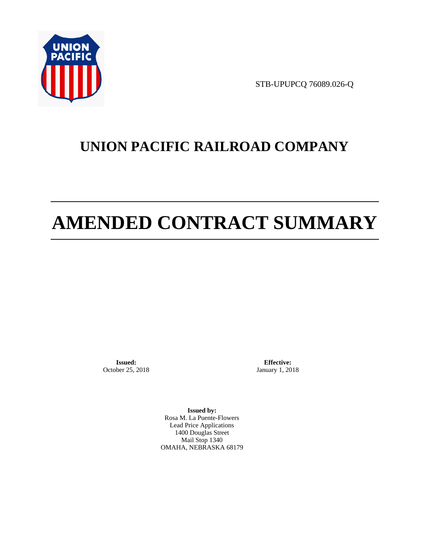

STB-UPUPCQ 76089.026-Q

# **UNION PACIFIC RAILROAD COMPANY**

# **AMENDED CONTRACT SUMMARY**

**Issued:**  October 25, 2018

**Effective:** January 1, 2018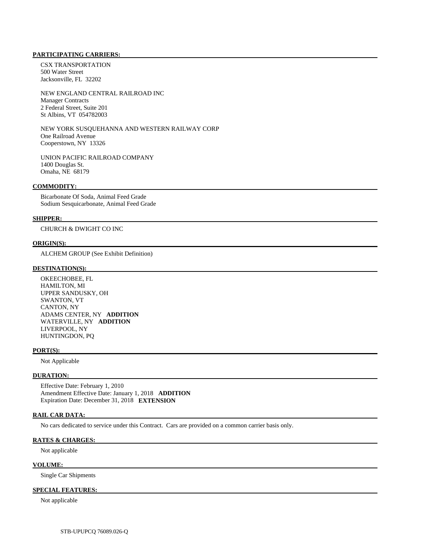CSX TRANSPORTATION 500 Water Street Jacksonville, FL 32202

 NEW ENGLAND CENTRAL RAILROAD INC Manager Contracts 2 Federal Street, Suite 201 St Albins, VT 054782003

 NEW YORK SUSQUEHANNA AND WESTERN RAILWAY CORP One Railroad Avenue Cooperstown, NY 13326

 UNION PACIFIC RAILROAD COMPANY 1400 Douglas St. Omaha, NE 68179

#### **COMMODITY:**

 Bicarbonate Of Soda, Animal Feed Grade Sodium Sesquicarbonate, Animal Feed Grade

#### **SHIPPER:**

CHURCH & DWIGHT CO INC

# **ORIGIN(S):**

ALCHEM GROUP (See Exhibit Definition)

# **DESTINATION(S):**

 OKEECHOBEE, FL HAMILTON, MI UPPER SANDUSKY, OH SWANTON, VT CANTON, NY ADAMS CENTER, NY **ADDITION**  WATERVILLE, NY **ADDITION**  LIVERPOOL, NY HUNTINGDON, PQ

#### **PORT(S):**

Not Applicable

# **DURATION:**

 Effective Date: February 1, 2010 Amendment Effective Date: January 1, 2018 **ADDITION**  Expiration Date: December 31, 2018 **EXTENSION** 

## **RAIL CAR DATA:**

No cars dedicated to service under this Contract. Cars are provided on a common carrier basis only.

# **RATES & CHARGES:**

Not applicable

### **VOLUME:**

Single Car Shipments

# **SPECIAL FEATURES:**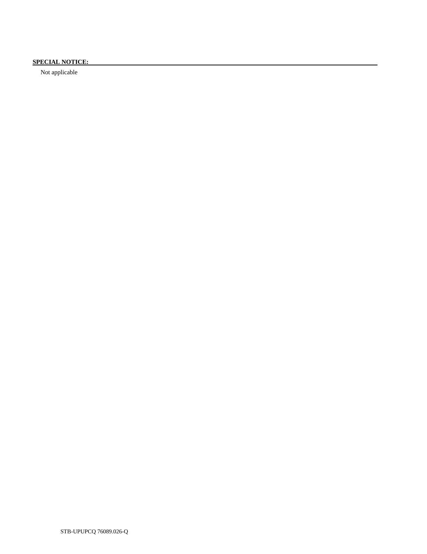# **SPECIAL NOTICE:**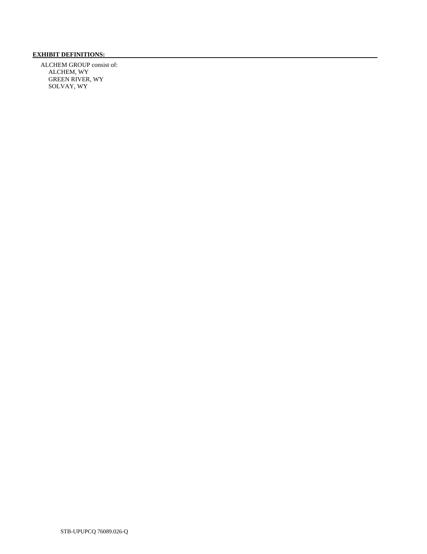# **EXHIBIT DEFINITIONS:**

 ALCHEM GROUP consist of: ALCHEM, WY GREEN RIVER, WY SOLVAY, WY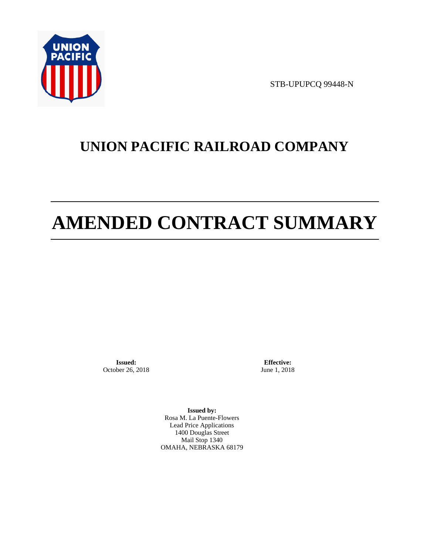

STB-UPUPCQ 99448-N

# **UNION PACIFIC RAILROAD COMPANY**

# **AMENDED CONTRACT SUMMARY**

**Issued:**  October 26, 2018

**Effective:** June 1, 2018